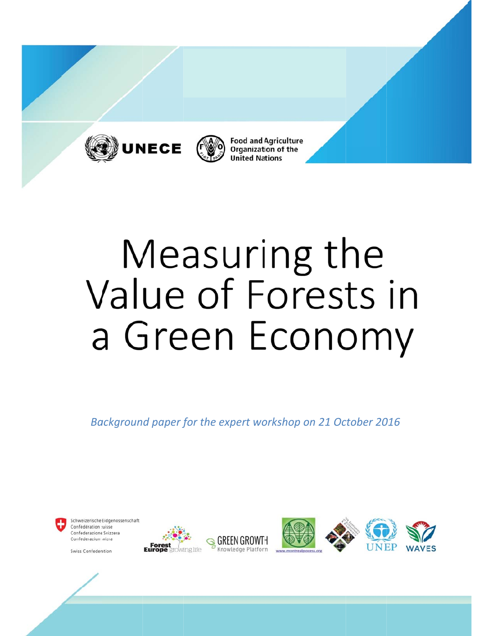



**Food and Agriculture Organization of the United Nations** 

# Measuring the Value of Forests in a Green Economy

*Background paper for the expert workshop on 21 October 2016*



Schweizerische Eidgenossenschaft Confédération suisse Confederazione Svizzera Confederaziun svizra

Swiss Confederation

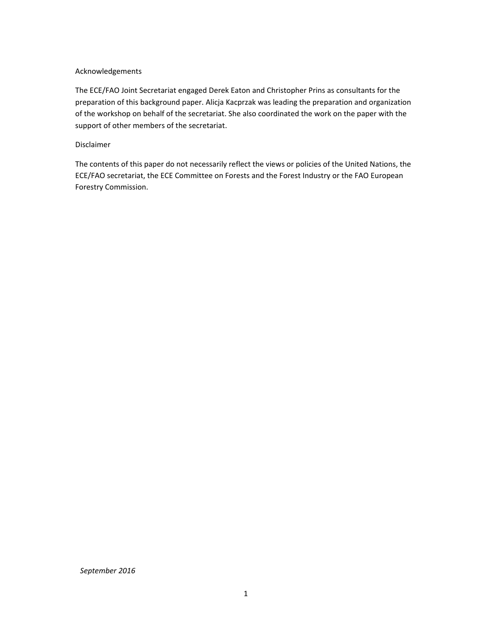#### Acknowledgements

The ECE/FAO Joint Secretariat engaged Derek Eaton and Christopher Prins as consultants for the preparation of this background paper. Alicja Kacprzak was leading the preparation and organization of the workshop on behalf of the secretariat. She also coordinated the work on the paper with the support of other members of the secretariat.

#### Disclaimer

The contents of this paper do not necessarily reflect the views or policies of the United Nations, the ECE/FAO secretariat, the ECE Committee on Forests and the Forest Industry or the FAO European Forestry Commission.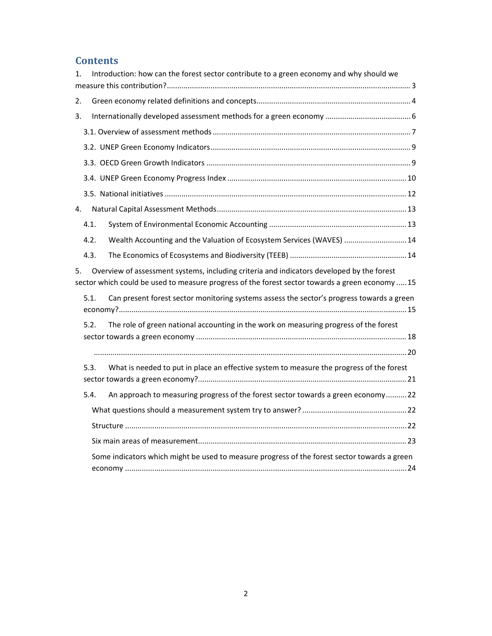# **Contents**

| 1. |      | Introduction: how can the forest sector contribute to a green economy and why should we                                                                                                      |  |
|----|------|----------------------------------------------------------------------------------------------------------------------------------------------------------------------------------------------|--|
| 2. |      |                                                                                                                                                                                              |  |
| 3. |      |                                                                                                                                                                                              |  |
|    |      |                                                                                                                                                                                              |  |
|    |      |                                                                                                                                                                                              |  |
|    |      |                                                                                                                                                                                              |  |
|    |      |                                                                                                                                                                                              |  |
|    |      |                                                                                                                                                                                              |  |
| 4. |      |                                                                                                                                                                                              |  |
|    | 4.1. |                                                                                                                                                                                              |  |
|    | 4.2. | Wealth Accounting and the Valuation of Ecosystem Services (WAVES)  14                                                                                                                        |  |
|    | 4.3. |                                                                                                                                                                                              |  |
| 5. |      | Overview of assessment systems, including criteria and indicators developed by the forest<br>sector which could be used to measure progress of the forest sector towards a green economy  15 |  |
|    | 5.1. | Can present forest sector monitoring systems assess the sector's progress towards a green                                                                                                    |  |
|    | 5.2. | The role of green national accounting in the work on measuring progress of the forest                                                                                                        |  |
|    |      |                                                                                                                                                                                              |  |
|    | 5.3. | What is needed to put in place an effective system to measure the progress of the forest                                                                                                     |  |
|    | 5.4. | An approach to measuring progress of the forest sector towards a green economy22                                                                                                             |  |
|    |      |                                                                                                                                                                                              |  |
|    |      |                                                                                                                                                                                              |  |
|    |      |                                                                                                                                                                                              |  |
|    |      | Some indicators which might be used to measure progress of the forest sector towards a green                                                                                                 |  |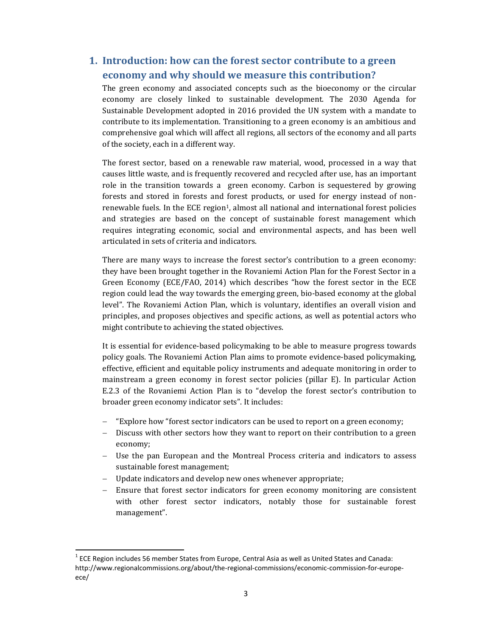# **1. Introduction: how can the forest sector contribute to a green economy and why should we measure this contribution?**

The green economy and associated concepts such as the bioeconomy or the circular economy are closely linked to sustainable development. The 2030 Agenda for Sustainable Development adopted in 2016 provided the UN system with a mandate to contribute to its implementation. Transitioning to a green economy is an ambitious and comprehensive goal which will affect all regions, all sectors of the economy and all parts of the society, each in a different way.

The forest sector, based on a renewable raw material, wood, processed in a way that causes little waste, and is frequently recovered and recycled after use, has an important role in the transition towards a green economy. Carbon is sequestered by growing forests and stored in forests and forest products, or used for energy instead of nonrenewable fuels. In the ECE region<sup>1</sup>, almost all national and international forest policies and strategies are based on the concept of sustainable forest management which requires integrating economic, social and environmental aspects, and has been well articulated in sets of criteria and indicators.

There are many ways to increase the forest sector's contribution to a green economy: they have been brought together in the Rovaniemi Action Plan for the Forest Sector in a Green Economy (ECE/FAO, 2014) which describes "how the forest sector in the ECE region could lead the way towards the emerging green, bio-based economy at the global level". The Rovaniemi Action Plan, which is voluntary, identifies an overall vision and principles, and proposes objectives and specific actions, as well as potential actors who might contribute to achieving the stated objectives.

It is essential for evidence-based policymaking to be able to measure progress towards policy goals. The Rovaniemi Action Plan aims to promote evidence-based policymaking, effective, efficient and equitable policy instruments and adequate monitoring in order to mainstream a green economy in forest sector policies (pillar E). In particular Action E.2.3 of the Rovaniemi Action Plan is to "develop the forest sector's contribution to broader green economy indicator sets". It includes:

- $-$  "Explore how "forest sector indicators can be used to report on a green economy;
- Discuss with other sectors how they want to report on their contribution to a green economy;
- Use the pan European and the Montreal Process criteria and indicators to assess sustainable forest management;
- $-$  Update indicators and develop new ones whenever appropriate;

- Ensure that forest sector indicators for green economy monitoring are consistent with other forest sector indicators, notably those for sustainable forest management". 

 $<sup>1</sup>$  ECE Region includes 56 member States from Europe, Central Asia as well as United States and Canada:</sup> http://www.regionalcommissions.org/about/the‐regional‐commissions/economic‐commission‐for‐europe‐ ece/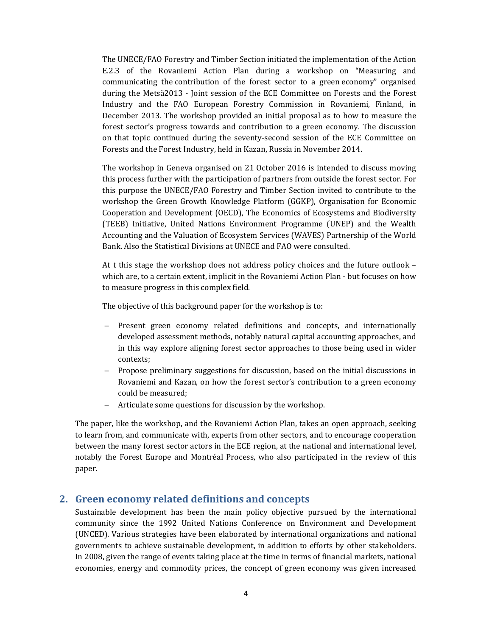The UNECE/FAO Forestry and Timber Section initiated the implementation of the Action E.2.3 of the Rovaniemi Action Plan during a workshop on "Measuring and communicating the contribution of the forest sector to a green economy" organised during the Metsä2013 - Joint session of the ECE Committee on Forests and the Forest Industry and the FAO European Forestry Commission in Rovaniemi, Finland, in December 2013. The workshop provided an initial proposal as to how to measure the forest sector's progress towards and contribution to a green economy. The discussion on that topic continued during the seventy-second session of the ECE Committee on Forests and the Forest Industry, held in Kazan, Russia in November 2014.

The workshop in Geneva organised on 21 October 2016 is intended to discuss moving this process further with the participation of partners from outside the forest sector. For this purpose the UNECE/FAO Forestry and Timber Section invited to contribute to the workshop the Green Growth Knowledge Platform (GGKP), Organisation for Economic Cooperation and Development (OECD), The Economics of Ecosystems and Biodiversity (TEEB) Initiative, United Nations Environment Programme (UNEP) and the Wealth Accounting and the Valuation of Ecosystem Services (WAVES) Partnership of the World Bank. Also the Statistical Divisions at UNECE and FAO were consulted.

At t this stage the workshop does not address policy choices and the future outlook  $$ which are, to a certain extent, implicit in the Rovaniemi Action Plan - but focuses on how to measure progress in this complex field.

The objective of this background paper for the workshop is to:

- Present green economy related definitions and concepts, and internationally developed assessment methods, notably natural capital accounting approaches, and in this way explore aligning forest sector approaches to those being used in wider contexts;
- Propose preliminary suggestions for discussion, based on the initial discussions in Rovaniemi and Kazan, on how the forest sector's contribution to a green economy could be measured;
- Articulate some questions for discussion by the workshop.

The paper, like the workshop, and the Rovaniemi Action Plan, takes an open approach, seeking to learn from, and communicate with, experts from other sectors, and to encourage cooperation between the many forest sector actors in the ECE region, at the national and international level, notably the Forest Europe and Montréal Process, who also participated in the review of this paper. 

## **2. Green economy related definitions and concepts**

Sustainable development has been the main policy objective pursued by the international community since the 1992 United Nations Conference on Environment and Development (UNCED). Various strategies have been elaborated by international organizations and national governments to achieve sustainable development, in addition to efforts by other stakeholders. In 2008, given the range of events taking place at the time in terms of financial markets, national economies, energy and commodity prices, the concept of green economy was given increased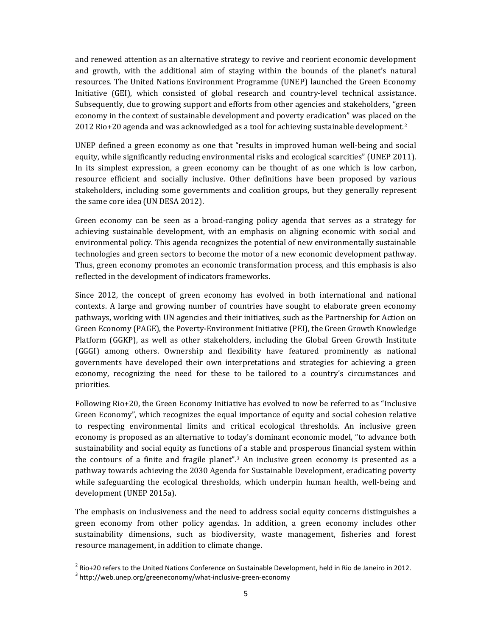and renewed attention as an alternative strategy to revive and reorient economic development and growth, with the additional aim of staying within the bounds of the planet's natural resources. The United Nations Environment Programme (UNEP) launched the Green Economy Initiative (GEI), which consisted of global research and country-level technical assistance. Subsequently, due to growing support and efforts from other agencies and stakeholders, "green economy in the context of sustainable development and poverty eradication" was placed on the  $2012$  Rio+20 agenda and was acknowledged as a tool for achieving sustainable development.<sup>2</sup>

UNEP defined a green economy as one that "results in improved human well-being and social equity, while significantly reducing environmental risks and ecological scarcities" (UNEP 2011). In its simplest expression, a green economy can be thought of as one which is low carbon, resource efficient and socially inclusive. Other definitions have been proposed by various stakeholders, including some governments and coalition groups, but they generally represent the same core idea (UN DESA 2012).

Green economy can be seen as a broad-ranging policy agenda that serves as a strategy for achieving sustainable development, with an emphasis on aligning economic with social and environmental policy. This agenda recognizes the potential of new environmentally sustainable technologies and green sectors to become the motor of a new economic development pathway. Thus, green economy promotes an economic transformation process, and this emphasis is also reflected in the development of indicators frameworks.

Since 2012, the concept of green economy has evolved in both international and national contexts. A large and growing number of countries have sought to elaborate green economy pathways, working with UN agencies and their initiatives, such as the Partnership for Action on Green Economy (PAGE), the Poverty-Environment Initiative (PEI), the Green Growth Knowledge Platform (GGKP), as well as other stakeholders, including the Global Green Growth Institute (GGGI) among others. Ownership and flexibility have featured prominently as national governments have developed their own interpretations and strategies for achieving a green economy, recognizing the need for these to be tailored to a country's circumstances and priorities. 

Following Rio+20, the Green Economy Initiative has evolved to now be referred to as "Inclusive Green Economy", which recognizes the equal importance of equity and social cohesion relative to respecting environmental limits and critical ecological thresholds. An inclusive green economy is proposed as an alternative to today's dominant economic model, "to advance both sustainability and social equity as functions of a stable and prosperous financial system within the contours of a finite and fragile planet".<sup>3</sup> An inclusive green economy is presented as a pathway towards achieving the 2030 Agenda for Sustainable Development, eradicating poverty while safeguarding the ecological thresholds, which underpin human health, well-being and development (UNEP 2015a).

The emphasis on inclusiveness and the need to address social equity concerns distinguishes a green economy from other policy agendas. In addition, a green economy includes other sustainability dimensions, such as biodiversity, waste management, fisheries and forest resource management, in addition to climate change.

<sup>&</sup>lt;sup>2</sup> Rio+20 refers to the United Nations Conference on Sustainable Development, held in Rio de Janeiro in 2012.<br><sup>3</sup> http://web.unep.org/greeneconomy/what-inclusive-green-economy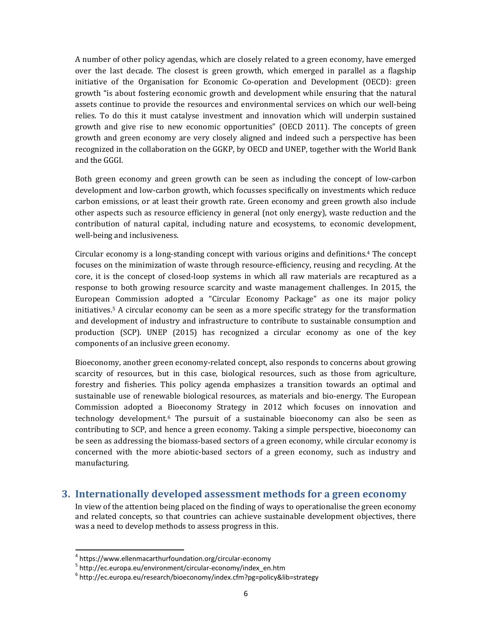A number of other policy agendas, which are closely related to a green economy, have emerged over the last decade. The closest is green growth, which emerged in parallel as a flagship initiative of the Organisation for Economic Co-operation and Development (OECD): green growth "is about fostering economic growth and development while ensuring that the natural assets continue to provide the resources and environmental services on which our well-being relies. To do this it must catalyse investment and innovation which will underpin sustained growth and give rise to new economic opportunities" (OECD 2011). The concepts of green growth and green economy are very closely aligned and indeed such a perspective has been recognized in the collaboration on the GGKP, by OECD and UNEP, together with the World Bank and the GGGI.

Both green economy and green growth can be seen as including the concept of low-carbon development and low-carbon growth, which focusses specifically on investments which reduce carbon emissions, or at least their growth rate. Green economy and green growth also include other aspects such as resource efficiency in general (not only energy), waste reduction and the contribution of natural capital, including nature and ecosystems, to economic development, well-being and inclusiveness.

Circular economy is a long-standing concept with various origins and definitions.<sup>4</sup> The concept focuses on the minimization of waste through resource-efficiency, reusing and recycling. At the core, it is the concept of closed-loop systems in which all raw materials are recaptured as a response to both growing resource scarcity and waste management challenges. In 2015, the European Commission adopted a "Circular Economy Package" as one its major policy initiatives.<sup>5</sup> A circular economy can be seen as a more specific strategy for the transformation and development of industry and infrastructure to contribute to sustainable consumption and production (SCP). UNEP (2015) has recognized a circular economy as one of the key components of an inclusive green economy.

Bioeconomy, another green economy-related concept, also responds to concerns about growing scarcity of resources, but in this case, biological resources, such as those from agriculture, forestry and fisheries. This policy agenda emphasizes a transition towards an optimal and sustainable use of renewable biological resources, as materials and bio-energy. The European Commission adopted a Bioeconomy Strategy in 2012 which focuses on innovation and  $technology development.6$  The pursuit of a sustainable bioeconomy can also be seen as contributing to SCP, and hence a green economy. Taking a simple perspective, bioeconomy can be seen as addressing the biomass-based sectors of a green economy, while circular economy is concerned with the more abiotic-based sectors of a green economy, such as industry and manufacturing. 

## **3. Internationally developed assessment methods for a green economy**

In view of the attention being placed on the finding of ways to operationalise the green economy and related concepts, so that countries can achieve sustainable development objectives, there was a need to develop methods to assess progress in this.

<sup>&</sup>lt;sup>4</sup> https://www.ellenmacarthurfoundation.org/circular-economy<br>
<sup>5</sup> http://ec.europa.eu/environment/circular-economy/index\_en.htm<br><sup>6</sup> http://ec.europa.eu/research/bioeconomy/index.cfm?pg=policy&lib=strategy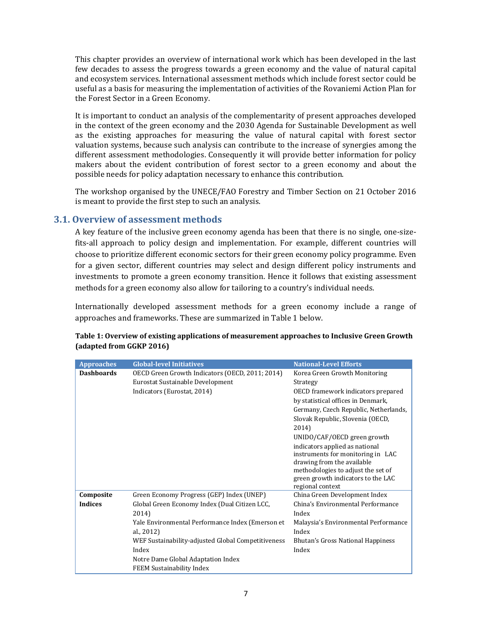This chapter provides an overview of international work which has been developed in the last few decades to assess the progress towards a green economy and the value of natural capital and ecosystem services. International assessment methods which include forest sector could be useful as a basis for measuring the implementation of activities of the Rovaniemi Action Plan for the Forest Sector in a Green Economy.

It is important to conduct an analysis of the complementarity of present approaches developed in the context of the green economy and the 2030 Agenda for Sustainable Development as well as the existing approaches for measuring the value of natural capital with forest sector valuation systems, because such analysis can contribute to the increase of synergies among the different assessment methodologies. Consequently it will provide better information for policy makers about the evident contribution of forest sector to a green economy and about the possible needs for policy adaptation necessary to enhance this contribution.

The workshop organised by the UNECE/FAO Forestry and Timber Section on 21 October 2016 is meant to provide the first step to such an analysis.

#### **3.1. Overview of assessment methods**

A key feature of the inclusive green economy agenda has been that there is no single, one-sizefits-all approach to policy design and implementation. For example, different countries will choose to prioritize different economic sectors for their green economy policy programme. Even for a given sector, different countries may select and design different policy instruments and investments to promote a green economy transition. Hence it follows that existing assessment methods for a green economy also allow for tailoring to a country's individual needs.

Internationally developed assessment methods for a green economy include a range of approaches and frameworks. These are summarized in Table 1 below.

| <b>Approaches</b> | <b>Global-level Initiatives</b>                    | <b>National-Level Efforts</b>                                            |
|-------------------|----------------------------------------------------|--------------------------------------------------------------------------|
| <b>Dashboards</b> | OECD Green Growth Indicators (OECD, 2011; 2014)    | Korea Green Growth Monitoring                                            |
|                   | Eurostat Sustainable Development                   | Strategy                                                                 |
|                   | Indicators (Eurostat, 2014)                        | OECD framework indicators prepared                                       |
|                   |                                                    | by statistical offices in Denmark,                                       |
|                   |                                                    | Germany, Czech Republic, Netherlands,                                    |
|                   |                                                    | Slovak Republic, Slovenia (OECD,                                         |
|                   |                                                    | 2014)                                                                    |
|                   |                                                    | UNIDO/CAF/OECD green growth                                              |
|                   |                                                    | indicators applied as national                                           |
|                   |                                                    | instruments for monitoring in LAC                                        |
|                   |                                                    | drawing from the available                                               |
|                   |                                                    | methodologies to adjust the set of<br>green growth indicators to the LAC |
|                   |                                                    | regional context                                                         |
| Composite         | Green Economy Progress (GEP) Index (UNEP)          | China Green Development Index                                            |
| <b>Indices</b>    | Global Green Economy Index (Dual Citizen LCC,      | China's Environmental Performance                                        |
|                   | 2014)                                              | Index                                                                    |
|                   | Yale Environmental Performance Index (Emerson et   | Malaysia's Environmental Performance                                     |
|                   | al., 2012)                                         | Index                                                                    |
|                   | WEF Sustainability-adjusted Global Competitiveness | Bhutan's Gross National Happiness                                        |
|                   | Index                                              | Index                                                                    |
|                   | Notre Dame Global Adaptation Index                 |                                                                          |
|                   | <b>FEEM Sustainability Index</b>                   |                                                                          |

#### **Table 1: Overview of existing applications of measurement approaches to Inclusive Green Growth (adapted from GGKP 2016)**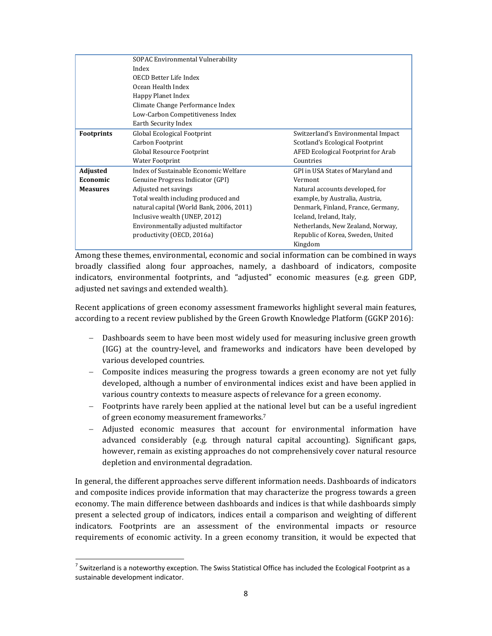|                   | SOPAC Environmental Vulnerability        |                                    |  |  |
|-------------------|------------------------------------------|------------------------------------|--|--|
|                   | Index                                    |                                    |  |  |
|                   | OECD Better Life Index                   |                                    |  |  |
|                   | Ocean Health Index                       |                                    |  |  |
|                   | Happy Planet Index                       |                                    |  |  |
|                   | Climate Change Performance Index         |                                    |  |  |
|                   | Low-Carbon Competitiveness Index         |                                    |  |  |
|                   | Earth Security Index                     |                                    |  |  |
| <b>Footprints</b> | Global Ecological Footprint              | Switzerland's Environmental Impact |  |  |
|                   | Carbon Footprint                         | Scotland's Ecological Footprint    |  |  |
|                   | Global Resource Footprint                | AFED Ecological Footprint for Arab |  |  |
|                   | <b>Water Footprint</b>                   | Countries                          |  |  |
| <b>Adjusted</b>   | Index of Sustainable Economic Welfare    | GPI in USA States of Maryland and  |  |  |
| Economic          | Genuine Progress Indicator (GPI)         | Vermont                            |  |  |
| <b>Measures</b>   | Adjusted net savings                     | Natural accounts developed, for    |  |  |
|                   | Total wealth including produced and      | example, by Australia, Austria,    |  |  |
|                   | natural capital (World Bank, 2006, 2011) | Denmark, Finland, France, Germany, |  |  |
|                   | Inclusive wealth (UNEP, 2012)            | Iceland, Ireland, Italy,           |  |  |
|                   | Environmentally adjusted multifactor     | Netherlands, New Zealand, Norway,  |  |  |
|                   | productivity (OECD, 2016a)               | Republic of Korea, Sweden, United  |  |  |
|                   |                                          | Kingdom                            |  |  |

Among these themes, environmental, economic and social information can be combined in ways broadly classified along four approaches, namely, a dashboard of indicators, composite indicators, environmental footprints, and "adjusted" economic measures (e.g. green GDP, adjusted net savings and extended wealth).

Recent applications of green economy assessment frameworks highlight several main features, according to a recent review published by the Green Growth Knowledge Platform (GGKP 2016):

- Dashboards seem to have been most widely used for measuring inclusive green growth (IGG) at the country-level, and frameworks and indicators have been developed by various developed countries.
- $-$  Composite indices measuring the progress towards a green economy are not yet fully developed, although a number of environmental indices exist and have been applied in various country contexts to measure aspects of relevance for a green economy.
- Footprints have rarely been applied at the national level but can be a useful ingredient of green economy measurement frameworks.<sup>7</sup>
- Adjusted economic measures that account for environmental information have advanced considerably (e.g. through natural capital accounting). Significant gaps, however, remain as existing approaches do not comprehensively cover natural resource depletion and environmental degradation.

In general, the different approaches serve different information needs. Dashboards of indicators and composite indices provide information that may characterize the progress towards a green economy. The main difference between dashboards and indices is that while dashboards simply present a selected group of indicators, indices entail a comparison and weighting of different indicators. Footprints are an assessment of the environmental impacts or resource requirements of economic activity. In a green economy transition, it would be expected that

  $^7$  Switzerland is a noteworthy exception. The Swiss Statistical Office has included the Ecological Footprint as a sustainable development indicator.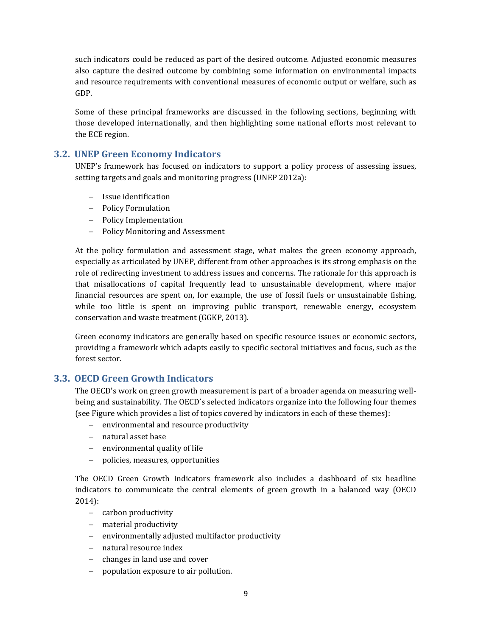such indicators could be reduced as part of the desired outcome. Adjusted economic measures also capture the desired outcome by combining some information on environmental impacts and resource requirements with conventional measures of economic output or welfare, such as GDP. 

Some of these principal frameworks are discussed in the following sections, beginning with those developed internationally, and then highlighting some national efforts most relevant to the ECE region.

## **3.2. UNEP Green Economy Indicators**

UNEP's framework has focused on indicators to support a policy process of assessing issues, setting targets and goals and monitoring progress (UNEP 2012a):

- Issue identification
- Policy Formulation
- Policy Implementation
- Policy Monitoring and Assessment

At the policy formulation and assessment stage, what makes the green economy approach, especially as articulated by UNEP, different from other approaches is its strong emphasis on the role of redirecting investment to address issues and concerns. The rationale for this approach is that misallocations of capital frequently lead to unsustainable development, where major financial resources are spent on, for example, the use of fossil fuels or unsustainable fishing, while too little is spent on improving public transport, renewable energy, ecosystem conservation and waste treatment (GGKP, 2013).

Green economy indicators are generally based on specific resource issues or economic sectors, providing a framework which adapts easily to specific sectoral initiatives and focus, such as the forest sector.

## **3.3. OECD Green Growth Indicators**

The OECD's work on green growth measurement is part of a broader agenda on measuring wellbeing and sustainability. The OECD's selected indicators organize into the following four themes (see Figure which provides a list of topics covered by indicators in each of these themes):

- $-$  environmental and resource productivity
- natural asset base
- $-$  environmental quality of life
- policies, measures, opportunities

The OECD Green Growth Indicators framework also includes a dashboard of six headline indicators to communicate the central elements of green growth in a balanced way (OECD 2014): 

- carbon productivity
- $-$  material productivity
- environmentally adjusted multifactor productivity
- natural resource index
- $-$  changes in land use and cover
- $-$  population exposure to air pollution.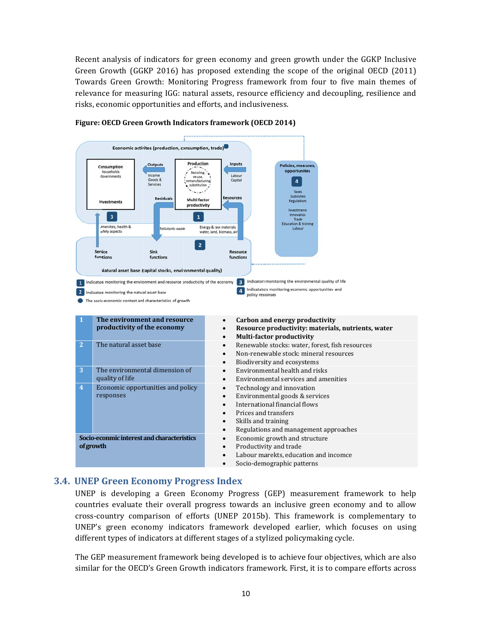Recent analysis of indicators for green economy and green growth under the GGKP Inclusive Green Growth (GGKP 2016) has proposed extending the scope of the original OECD (2011) Towards Green Growth: Monitoring Progress framework from four to five main themes of relevance for measuring IGG: natural assets, resource efficiency and decoupling, resilience and risks, economic opportunities and efforts, and inclusiveness.



#### **Figure: OECD Green Growth Indicators framework (OECD 2014)**

#### **3. 4. UNEP G Green Eco onomy Pr rogress In ndex**

UNEP is developing a Green Economy Progress (GEP) measurement framework to help countries evaluate their overall progress towards an inclusive green economy and to allow cross-country comparison of efforts (UNEP 2015b). This framework is complementary to UNEP's green economy indicators framework developed earlier, which focuses on using different types of indicators at different stages of a stylized policymaking cycle.

The GEP measurement framework being developed is to achieve four objectives, which are also similar for the OECD's Green Growth indicators framework. First, it is to compare efforts across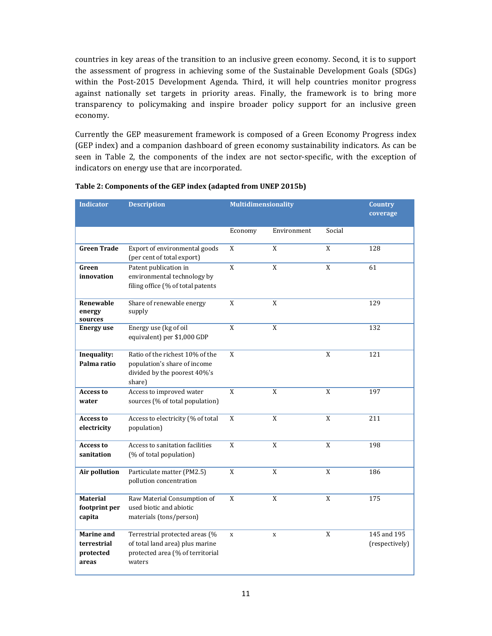countries in key areas of the transition to an inclusive green economy. Second, it is to support the assessment of progress in achieving some of the Sustainable Development Goals (SDGs) within the Post-2015 Development Agenda. Third, it will help countries monitor progress against nationally set targets in priority areas. Finally, the framework is to bring more transparency to policymaking and inspire broader policy support for an inclusive green economy. 

Currently the GEP measurement framework is composed of a Green Economy Progress index (GEP index) and a companion dashboard of green economy sustainability indicators. As can be seen in Table 2, the components of the index are not sector-specific, with the exception of indicators on energy use that are incorporated.

| <b>Indicator</b>                                | <b>Description</b>                                                                                              | <b>Multidimensionality</b> |                |              | <b>Country</b><br>coverage    |
|-------------------------------------------------|-----------------------------------------------------------------------------------------------------------------|----------------------------|----------------|--------------|-------------------------------|
|                                                 |                                                                                                                 | Economy                    | Environment    | Social       |                               |
| <b>Green Trade</b>                              | Export of environmental goods<br>(per cent of total export)                                                     | X                          | X              | X            | 128                           |
| Green<br>innovation                             | Patent publication in<br>environmental technology by<br>filing office (% of total patents                       | X                          | $\rm X$        | X            | 61                            |
| Renewable<br>energy<br>sources                  | Share of renewable energy<br>supply                                                                             | X                          | X              |              | 129                           |
| <b>Energy use</b>                               | Energy use (kg of oil<br>equivalent) per \$1,000 GDP                                                            | $\mathbf X$                | $\rm X$        |              | 132                           |
| Inequality:<br>Palma ratio                      | Ratio of the richest 10% of the<br>population's share of income<br>divided by the poorest 40%'s<br>share)       | X                          |                | X            | 121                           |
| <b>Access to</b><br>water                       | Access to improved water<br>sources (% of total population)                                                     | $\mathbf X$                | $\mathbf X$    | X            | 197                           |
| <b>Access to</b><br>electricity                 | Access to electricity (% of total<br>population)                                                                | X                          | $\overline{X}$ | $\mathbf{X}$ | 211                           |
| <b>Access to</b><br>sanitation                  | Access to sanitation facilities<br>(% of total population)                                                      | X                          | $\mathbf X$    | X            | 198                           |
| Air pollution                                   | Particulate matter (PM2.5)<br>pollution concentration                                                           | X                          | X              | X            | 186                           |
| <b>Material</b><br>footprint per<br>capita      | Raw Material Consumption of<br>used biotic and abiotic<br>materials (tons/person)                               | X                          | $\rm X$        | $\mathbf X$  | 175                           |
| Marine and<br>terrestrial<br>protected<br>areas | Terrestrial protected areas (%<br>of total land area) plus marine<br>protected area (% of territorial<br>waters | $\mathbf{x}$               | $\mathbf x$    | X            | 145 and 195<br>(respectively) |

#### **Table 2: Components of the GEP index (adapted from UNEP 2015b)**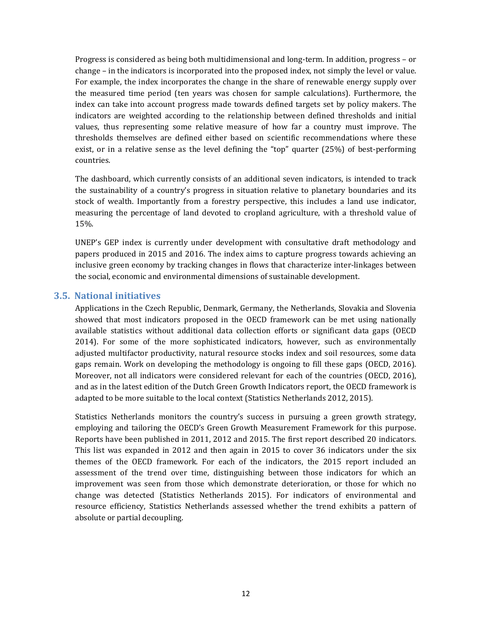Progress is considered as being both multidimensional and long-term. In addition, progress – or change – in the indicators is incorporated into the proposed index, not simply the level or value. For example, the index incorporates the change in the share of renewable energy supply over the measured time period (ten years was chosen for sample calculations). Furthermore, the index can take into account progress made towards defined targets set by policy makers. The indicators are weighted according to the relationship between defined thresholds and initial values, thus representing some relative measure of how far a country must improve. The thresholds themselves are defined either based on scientific recommendations where these exist, or in a relative sense as the level defining the "top" quarter  $(25%)$  of best-performing countries. 

The dashboard, which currently consists of an additional seven indicators, is intended to track the sustainability of a country's progress in situation relative to planetary boundaries and its stock of wealth. Importantly from a forestry perspective, this includes a land use indicator, measuring the percentage of land devoted to cropland agriculture, with a threshold value of 15%. 

UNEP's GEP index is currently under development with consultative draft methodology and papers produced in 2015 and 2016. The index aims to capture progress towards achieving an inclusive green economy by tracking changes in flows that characterize inter-linkages between the social, economic and environmental dimensions of sustainable development.

## **3.5. National initiatives**

Applications in the Czech Republic, Denmark, Germany, the Netherlands, Slovakia and Slovenia showed that most indicators proposed in the OECD framework can be met using nationally available statistics without additional data collection efforts or significant data gaps (OECD 2014). For some of the more sophisticated indicators, however, such as environmentally adjusted multifactor productivity, natural resource stocks index and soil resources, some data gaps remain. Work on developing the methodology is ongoing to fill these gaps (OECD, 2016). Moreover, not all indicators were considered relevant for each of the countries (OECD, 2016), and as in the latest edition of the Dutch Green Growth Indicators report, the OECD framework is adapted to be more suitable to the local context (Statistics Netherlands 2012, 2015).

Statistics Netherlands monitors the country's success in pursuing a green growth strategy, employing and tailoring the OECD's Green Growth Measurement Framework for this purpose. Reports have been published in 2011, 2012 and 2015. The first report described 20 indicators. This list was expanded in 2012 and then again in  $2015$  to cover 36 indicators under the six themes of the OECD framework. For each of the indicators, the 2015 report included an assessment of the trend over time, distinguishing between those indicators for which an improvement was seen from those which demonstrate deterioration, or those for which no change was detected (Statistics Netherlands 2015). For indicators of environmental and resource efficiency, Statistics Netherlands assessed whether the trend exhibits a pattern of absolute or partial decoupling.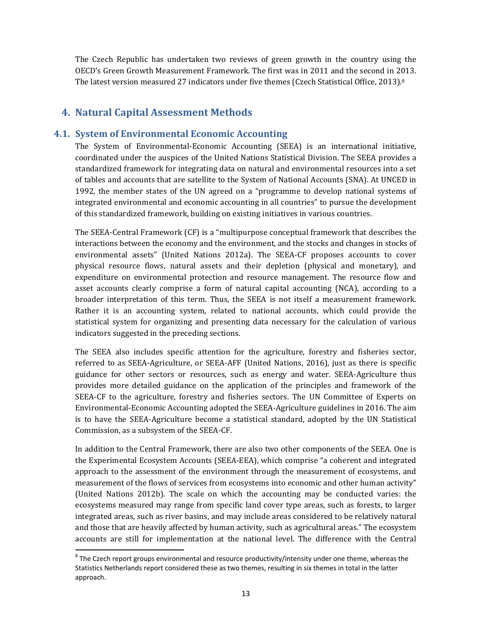The Czech Republic has undertaken two reviews of green growth in the country using the OECD's Green Growth Measurement Framework. The first was in 2011 and the second in 2013. The latest version measured 27 indicators under five themes (Czech Statistical Office, 2013).<sup>8</sup>

# **4. Natural Capital Assessment Methods**

## **4.1. System of Environmental Economic Accounting**

The System of Environmental-Economic Accounting (SEEA) is an international initiative, coordinated under the auspices of the United Nations Statistical Division. The SEEA provides a standardized framework for integrating data on natural and environmental resources into a set of tables and accounts that are satellite to the System of National Accounts (SNA). At UNCED in 1992, the member states of the UN agreed on a "programme to develop national systems of integrated environmental and economic accounting in all countries" to pursue the development of this standardized framework, building on existing initiatives in various countries.

The SEEA-Central Framework (CF) is a "multipurpose conceptual framework that describes the interactions between the economy and the environment, and the stocks and changes in stocks of environmental assets" (United Nations 2012a). The SEEA-CF proposes accounts to cover physical resource flows, natural assets and their depletion (physical and monetary), and expenditure on environmental protection and resource management. The resource flow and asset accounts clearly comprise a form of natural capital accounting (NCA), according to a broader interpretation of this term. Thus, the SEEA is not itself a measurement framework. Rather it is an accounting system, related to national accounts, which could provide the statistical system for organizing and presenting data necessary for the calculation of various indicators suggested in the preceding sections.

The SEEA also includes specific attention for the agriculture, forestry and fisheries sector, referred to as SEEA-Agriculture, or SEEA-AFF (United Nations, 2016), just as there is specific guidance for other sectors or resources, such as energy and water. SEEA-Agriculture thus provides more detailed guidance on the application of the principles and framework of the SEEA-CF to the agriculture, forestry and fisheries sectors. The UN Committee of Experts on Environmental-Economic Accounting adopted the SEEA-Agriculture guidelines in 2016. The aim is to have the SEEA-Agriculture become a statistical standard, adopted by the UN Statistical Commission, as a subsystem of the SEEA-CF.

In addition to the Central Framework, there are also two other components of the SEEA. One is the Experimental Ecosystem Accounts (SEEA-EEA), which comprise "a coherent and integrated approach to the assessment of the environment through the measurement of ecosystems, and measurement of the flows of services from ecosystems into economic and other human activity" (United Nations 2012b). The scale on which the accounting may be conducted varies: the ecosystems measured may range from specific land cover type areas, such as forests, to larger integrated areas, such as river basins, and may include areas considered to be relatively natural and those that are heavily affected by human activity, such as agricultural areas." The ecosystem accounts are still for implementation at the national level. The difference with the Central

 $8$  The Czech report groups environmental and resource productivity/intensity under one theme, whereas the Statistics Netherlands report considered these as two themes, resulting in six themes in total in the latter approach.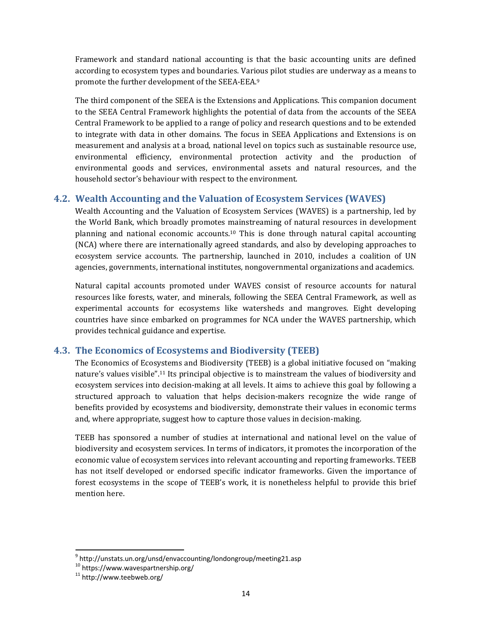Framework and standard national accounting is that the basic accounting units are defined according to ecosystem types and boundaries. Various pilot studies are underway as a means to promote the further development of the SEEA-EEA.<sup>9</sup>

The third component of the SEEA is the Extensions and Applications. This companion document to the SEEA Central Framework highlights the potential of data from the accounts of the SEEA Central Framework to be applied to a range of policy and research questions and to be extended to integrate with data in other domains. The focus in SEEA Applications and Extensions is on measurement and analysis at a broad, national level on topics such as sustainable resource use, environmental efficiency, environmental protection activity and the production of environmental goods and services, environmental assets and natural resources, and the household sector's behaviour with respect to the environment.

## **4.2. Wealth Accounting and the Valuation of Ecosystem Services (WAVES)**

Wealth Accounting and the Valuation of Ecosystem Services (WAVES) is a partnership, led by the World Bank, which broadly promotes mainstreaming of natural resources in development planning and national economic accounts.<sup>10</sup> This is done through natural capital accounting (NCA) where there are internationally agreed standards, and also by developing approaches to ecosystem service accounts. The partnership, launched in 2010, includes a coalition of UN agencies, governments, international institutes, nongovernmental organizations and academics.

Natural capital accounts promoted under WAVES consist of resource accounts for natural resources like forests, water, and minerals, following the SEEA Central Framework, as well as experimental accounts for ecosystems like watersheds and mangroves. Eight developing countries have since embarked on programmes for NCA under the WAVES partnership, which provides technical guidance and expertise.

## **4.3. The Economics of Ecosystems and Biodiversity (TEEB)**

The Economics of Ecosystems and Biodiversity (TEEB) is a global initiative focused on "making nature's values visible".<sup>11</sup> Its principal objective is to mainstream the values of biodiversity and ecosystem services into decision-making at all levels. It aims to achieve this goal by following a structured approach to valuation that helps decision-makers recognize the wide range of benefits provided by ecosystems and biodiversity, demonstrate their values in economic terms and, where appropriate, suggest how to capture those values in decision-making.

TEEB has sponsored a number of studies at international and national level on the value of biodiversity and ecosystem services. In terms of indicators, it promotes the incorporation of the economic value of ecosystem services into relevant accounting and reporting frameworks. TEEB has not itself developed or endorsed specific indicator frameworks. Given the importance of forest ecosystems in the scope of TEEB's work, it is nonetheless helpful to provide this brief mention here.

 $9$  http://unstats.un.org/unsd/envaccounting/londongroup/meeting21.asp

<sup>10</sup> https://www.wavespartnership.org/<br>11 http://www.teebweb.org/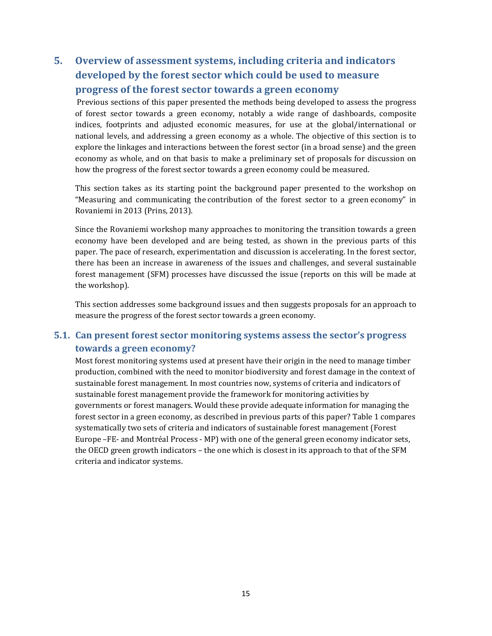# **5. Overview of assessment systems, including criteria and indicators developed by the forest sector which could be used to measure progress of the forest sector towards a green economy**

Previous sections of this paper presented the methods being developed to assess the progress of forest sector towards a green economy, notably a wide range of dashboards, composite indices, footprints and adjusted economic measures, for use at the global/international or national levels, and addressing a green economy as a whole. The objective of this section is to explore the linkages and interactions between the forest sector (in a broad sense) and the green economy as whole, and on that basis to make a preliminary set of proposals for discussion on how the progress of the forest sector towards a green economy could be measured.

This section takes as its starting point the background paper presented to the workshop on "Measuring and communicating the contribution of the forest sector to a green economy" in Rovaniemi in 2013 (Prins, 2013).

Since the Rovaniemi workshop many approaches to monitoring the transition towards a green economy have been developed and are being tested, as shown in the previous parts of this paper. The pace of research, experimentation and discussion is accelerating. In the forest sector, there has been an increase in awareness of the issues and challenges, and several sustainable forest management (SFM) processes have discussed the issue (reports on this will be made at the workshop).

This section addresses some background issues and then suggests proposals for an approach to measure the progress of the forest sector towards a green economy.

# **5.1. Can present forest sector monitoring systems assess the sector's progress towards a green economy?**

Most forest monitoring systems used at present have their origin in the need to manage timber production, combined with the need to monitor biodiversity and forest damage in the context of sustainable forest management. In most countries now, systems of criteria and indicators of sustainable forest management provide the framework for monitoring activities by governments or forest managers. Would these provide adequate information for managing the forest sector in a green economy, as described in previous parts of this paper? Table 1 compares systematically two sets of criteria and indicators of sustainable forest management (Forest Europe –FE- and Montréal Process - MP) with one of the general green economy indicator sets, the OECD green growth indicators – the one which is closest in its approach to that of the SFM criteria and indicator systems.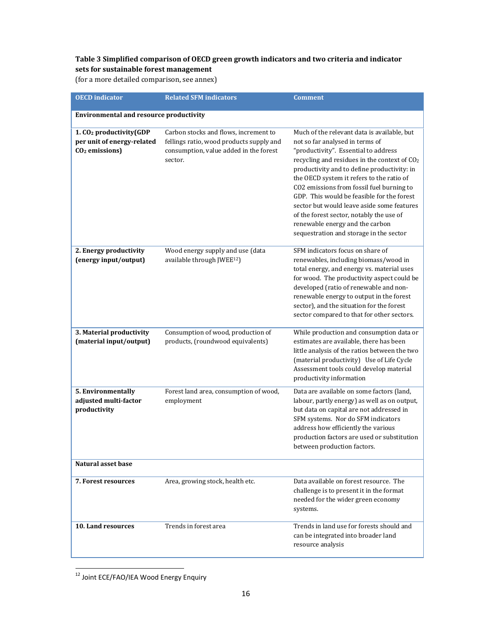## **Table 3 Simplified comparison of OECD green growth indicators and two criteria and indicator sets for sustainable forest management**

(for a more detailed comparison, see annex)

| <b>OECD</b> indicator                                                                           | <b>Related SFM indicators</b>                                                                                                          | <b>Comment</b>                                                                                                                                                                                                                                                                                                                                                                                                                                                                                                                                    |
|-------------------------------------------------------------------------------------------------|----------------------------------------------------------------------------------------------------------------------------------------|---------------------------------------------------------------------------------------------------------------------------------------------------------------------------------------------------------------------------------------------------------------------------------------------------------------------------------------------------------------------------------------------------------------------------------------------------------------------------------------------------------------------------------------------------|
| <b>Environmental and resource productivity</b>                                                  |                                                                                                                                        |                                                                                                                                                                                                                                                                                                                                                                                                                                                                                                                                                   |
| 1. CO <sub>2</sub> productivity(GDP<br>per unit of energy-related<br>CO <sub>2</sub> emissions) | Carbon stocks and flows, increment to<br>fellings ratio, wood products supply and<br>consumption, value added in the forest<br>sector. | Much of the relevant data is available, but<br>not so far analysed in terms of<br>"productivity". Essential to address<br>recycling and residues in the context of CO <sub>2</sub><br>productivity and to define productivity: in<br>the OECD system it refers to the ratio of<br>CO2 emissions from fossil fuel burning to<br>GDP. This would be feasible for the forest<br>sector but would leave aside some features<br>of the forest sector, notably the use of<br>renewable energy and the carbon<br>sequestration and storage in the sector |
| 2. Energy productivity<br>(energy input/output)                                                 | Wood energy supply and use (data<br>available through JWEE <sup>12</sup> )                                                             | SFM indicators focus on share of<br>renewables, including biomass/wood in<br>total energy, and energy vs. material uses<br>for wood. The productivity aspect could be<br>developed (ratio of renewable and non-<br>renewable energy to output in the forest<br>sector), and the situation for the forest<br>sector compared to that for other sectors.                                                                                                                                                                                            |
| 3. Material productivity<br>(material input/output)                                             | Consumption of wood, production of<br>products, (roundwood equivalents)                                                                | While production and consumption data or<br>estimates are available, there has been<br>little analysis of the ratios between the two<br>(material productivity) Use of Life Cycle<br>Assessment tools could develop material<br>productivity information                                                                                                                                                                                                                                                                                          |
| 5. Environmentally<br>adjusted multi-factor<br>productivity                                     | Forest land area, consumption of wood,<br>employment                                                                                   | Data are available on some factors (land,<br>labour, partly energy) as well as on output,<br>but data on capital are not addressed in<br>SFM systems. Nor do SFM indicators<br>address how efficiently the various<br>production factors are used or substitution<br>between production factors.                                                                                                                                                                                                                                                  |
| Natural asset base                                                                              |                                                                                                                                        |                                                                                                                                                                                                                                                                                                                                                                                                                                                                                                                                                   |
| 7. Forest resources                                                                             | Area, growing stock, health etc.                                                                                                       | Data available on forest resource. The<br>challenge is to present it in the format<br>needed for the wider green economy<br>systems.                                                                                                                                                                                                                                                                                                                                                                                                              |
| 10. Land resources                                                                              | Trends in forest area                                                                                                                  | Trends in land use for forests should and<br>can be integrated into broader land<br>resource analysis                                                                                                                                                                                                                                                                                                                                                                                                                                             |

 <sup>12</sup> Joint ECE/FAO/IEA Wood Energy Enquiry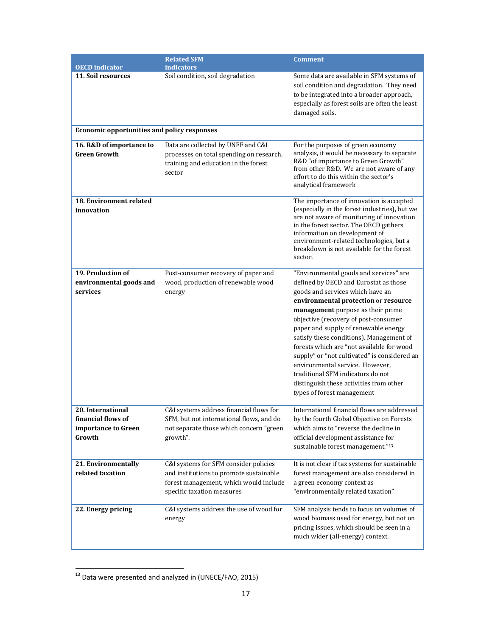|                                                                          | <b>Related SFM</b>                                                                                                                                       | <b>Comment</b>                                                                                                                                                                                                                                                                                                                                                                                                                                                                                                                                                             |  |
|--------------------------------------------------------------------------|----------------------------------------------------------------------------------------------------------------------------------------------------------|----------------------------------------------------------------------------------------------------------------------------------------------------------------------------------------------------------------------------------------------------------------------------------------------------------------------------------------------------------------------------------------------------------------------------------------------------------------------------------------------------------------------------------------------------------------------------|--|
| <b>OECD</b> indicator                                                    | <i>indicators</i>                                                                                                                                        |                                                                                                                                                                                                                                                                                                                                                                                                                                                                                                                                                                            |  |
| 11. Soil resources                                                       | Soil condition, soil degradation                                                                                                                         | Some data are available in SFM systems of<br>soil condition and degradation. They need<br>to be integrated into a broader approach,<br>especially as forest soils are often the least<br>damaged soils.                                                                                                                                                                                                                                                                                                                                                                    |  |
| <b>Economic opportunities and policy responses</b>                       |                                                                                                                                                          |                                                                                                                                                                                                                                                                                                                                                                                                                                                                                                                                                                            |  |
| 16. R&D of importance to<br><b>Green Growth</b>                          | Data are collected by UNFF and C&I<br>processes on total spending on research,<br>training and education in the forest<br>sector                         | For the purposes of green economy<br>analysis, it would be necessary to separate<br>R&D "of importance to Green Growth"<br>from other R&D. We are not aware of any<br>effort to do this within the sector's<br>analytical framework                                                                                                                                                                                                                                                                                                                                        |  |
| <b>18. Environment related</b><br>innovation                             |                                                                                                                                                          | The importance of innovation is accepted<br>(especially in the forest industries), but we<br>are not aware of monitoring of innovation<br>in the forest sector. The OECD gathers<br>information on development of<br>environment-related technologies, but a<br>breakdown is not available for the forest<br>sector.                                                                                                                                                                                                                                                       |  |
| 19. Production of<br>environmental goods and<br>services                 | Post-consumer recovery of paper and<br>wood, production of renewable wood<br>energy                                                                      | "Environmental goods and services" are<br>defined by OECD and Eurostat as those<br>goods and services which have an<br>environmental protection or resource<br>management purpose as their prime<br>objective (recovery of post-consumer<br>paper and supply of renewable energy<br>satisfy these conditions). Management of<br>forests which are "not available for wood<br>supply" or "not cultivated" is considered an<br>environmental service. However,<br>traditional SFM indicators do not<br>distinguish these activities from other<br>types of forest management |  |
| 20. International<br>financial flows of<br>importance to Green<br>Growth | C&I systems address financial flows for<br>SFM, but not international flows, and do<br>not separate those which concern "green<br>growth".               | International financial flows are addressed<br>by the fourth Global Objective on Forests<br>which aims to "reverse the decline in<br>official development assistance for<br>sustainable forest management."13                                                                                                                                                                                                                                                                                                                                                              |  |
| 21. Environmentally<br>related taxation                                  | C&I systems for SFM consider policies<br>and institutions to promote sustainable<br>forest management, which would include<br>specific taxation measures | It is not clear if tax systems for sustainable<br>forest management are also considered in<br>a green economy context as<br>"environmentally related taxation"                                                                                                                                                                                                                                                                                                                                                                                                             |  |
| 22. Energy pricing                                                       | C&I systems address the use of wood for<br>energy                                                                                                        | SFM analysis tends to focus on volumes of<br>wood biomass used for energy, but not on<br>pricing issues, which should be seen in a<br>much wider (all-energy) context.                                                                                                                                                                                                                                                                                                                                                                                                     |  |

 $^{13}$  Data were presented and analyzed in (UNECE/FAO, 2015)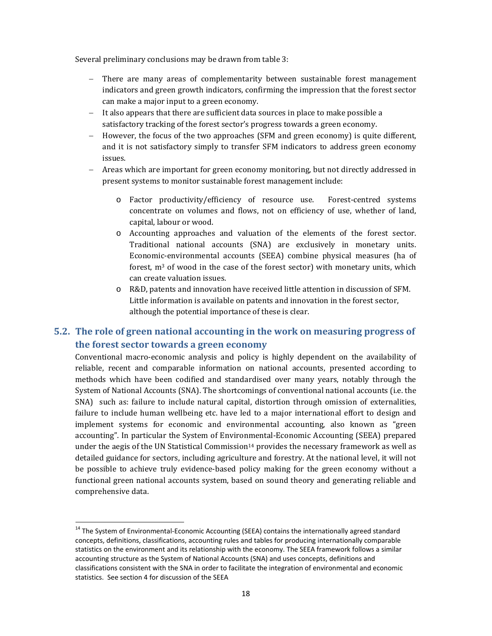Several preliminary conclusions may be drawn from table 3:

- $-$  There are many areas of complementarity between sustainable forest management indicators and green growth indicators, confirming the impression that the forest sector can make a major input to a green economy.
- $-$  It also appears that there are sufficient data sources in place to make possible a satisfactory tracking of the forest sector's progress towards a green economy.
- $-$  However, the focus of the two approaches (SFM and green economy) is quite different, and it is not satisfactory simply to transfer SFM indicators to address green economy issues.
- Areas which are important for green economy monitoring, but not directly addressed in present systems to monitor sustainable forest management include:
	- o Factor productivity/efficiency of resource use. Forest‐centred systems concentrate on volumes and flows, not on efficiency of use, whether of land, capital, labour or wood.
	- $\circ$  Accounting approaches and valuation of the elements of the forest sector. Traditional national accounts (SNA) are exclusively in monetary units. Economic-environmental accounts (SEEA) combine physical measures (ha of forest,  $m<sup>3</sup>$  of wood in the case of the forest sector) with monetary units, which can create valuation issues.
	- $\circ$  R&D, patents and innovation have received little attention in discussion of SFM. Little information is available on patents and innovation in the forest sector, although the potential importance of these is clear.

# **5.2. The role of green national accounting in the work on measuring progress of the forest sector towards a green economy**

Conventional macro-economic analysis and policy is highly dependent on the availability of reliable, recent and comparable information on national accounts, presented according to methods which have been codified and standardised over many years, notably through the System of National Accounts (SNA). The shortcomings of conventional national accounts (i.e. the SNA) such as: failure to include natural capital, distortion through omission of externalities, failure to include human wellbeing etc. have led to a major international effort to design and implement systems for economic and environmental accounting, also known as "green accounting". In particular the System of Environmental-Economic Accounting (SEEA) prepared under the aegis of the UN Statistical Commission<sup>14</sup> provides the necessary framework as well as detailed guidance for sectors, including agriculture and forestry. At the national level, it will not be possible to achieve truly evidence-based policy making for the green economy without a functional green national accounts system, based on sound theory and generating reliable and comprehensive data.

<sup>&</sup>lt;sup>14</sup> The System of Environmental-Economic Accounting (SEEA) contains the internationally agreed standard concepts, definitions, classifications, accounting rules and tables for producing internationally comparable statistics on the environment and its relationship with the economy. The SEEA framework follows a similar accounting structure as the System of National Accounts (SNA) and uses concepts, definitions and classifications consistent with the SNA in order to facilitate the integration of environmental and economic statistics. See section 4 for discussion of the SEEA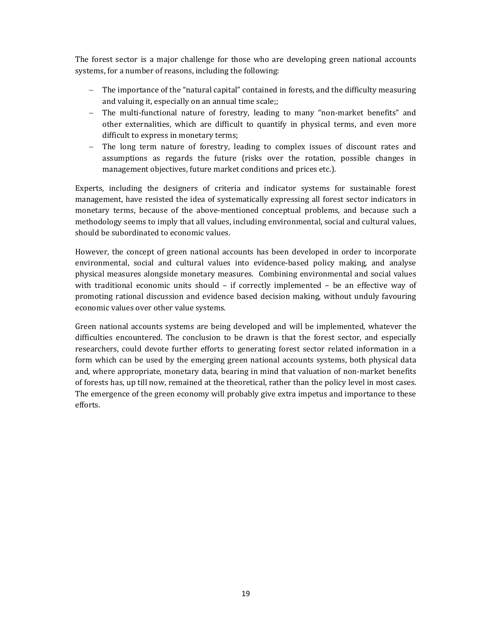The forest sector is a major challenge for those who are developing green national accounts systems, for a number of reasons, including the following:

- $-$  The importance of the "natural capital" contained in forests, and the difficulty measuring and valuing it, especially on an annual time scale;;
- The multi-functional nature of forestry, leading to many "non-market benefits" and other externalities, which are difficult to quantify in physical terms, and even more difficult to express in monetary terms;
- $-$  The long term nature of forestry, leading to complex issues of discount rates and assumptions as regards the future (risks over the rotation, possible changes in management objectives, future market conditions and prices etc.).

Experts, including the designers of criteria and indicator systems for sustainable forest management, have resisted the idea of systematically expressing all forest sector indicators in monetary terms, because of the above-mentioned conceptual problems, and because such a methodology seems to imply that all values, including environmental, social and cultural values, should be subordinated to economic values.

However, the concept of green national accounts has been developed in order to incorporate environmental, social and cultural values into evidence-based policy making, and analyse physical measures alongside monetary measures. Combining environmental and social values with traditional economic units should  $-$  if correctly implemented  $-$  be an effective way of promoting rational discussion and evidence based decision making, without unduly favouring economic values over other value systems.

Green national accounts systems are being developed and will be implemented, whatever the difficulties encountered. The conclusion to be drawn is that the forest sector, and especially researchers, could devote further efforts to generating forest sector related information in a form which can be used by the emerging green national accounts systems, both physical data and, where appropriate, monetary data, bearing in mind that valuation of non-market benefits of forests has, up till now, remained at the theoretical, rather than the policy level in most cases. The emergence of the green economy will probably give extra impetus and importance to these efforts.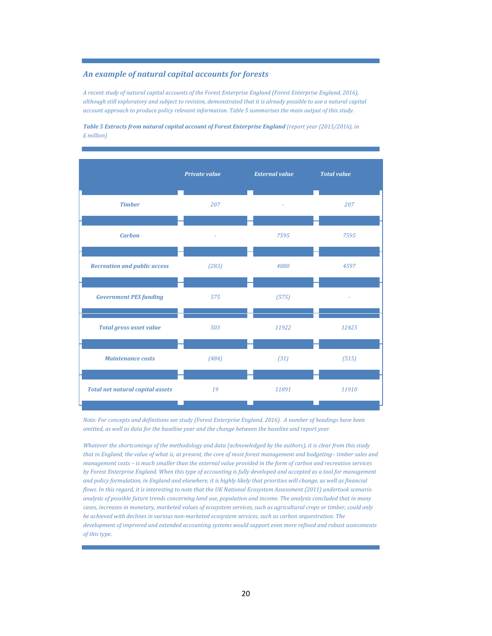#### *An example of natural capital accounts for forests*

*A recent study of natural capital accounts of the Forest Enterprise England (Forest Enterprise England, 2016),* although still exploratory and subject to revision, demonstrated that it is already possible to use a natural capital *account approach to produce policy relevant information. Table 5 summarises the main output of this study.*

*Table 5 Extracts from natural capital account of Forest Enterprise England (report year (2015/2016), in £ million)*



Note: For concepts and definitions see study (Forest Enterprise England, 2016). A number of headings have been omitted, as well as data for the baseline year and the change between the baseline and report year.

Whatever the shortcomings of the methodology and data (acknowledged by the authors), it is clear from this study that in England, the value of what is, at present, the core of most forest management and budgeting-timber sales and management costs - is much smaller than the external value provided in the form of carbon and recreation services by Forest Enterprise England. When this type of accounting is fully developed and accepted as a tool for management and policy formulation, in England and elsewhere, it is highly likely that priorities will change, as well as financial flows. In this regard, it is interesting to note that the UK National Ecosystem Assessment (2011) undertook scenario analysis of possible future trends concerning land use, population and income. The analysis concluded that in many cases, increases in monetary, marketed values of ecosystem services, such as agricultural crops or timber, could only *be achieved with declines in various non‐marketed ecosystem services, such as carbon sequestration. The development of improved and extended accounting systems would support even more refined and robust assessments of this type.*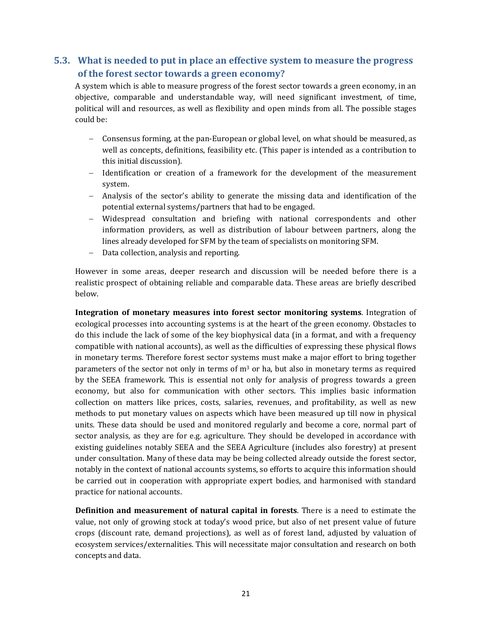# **5.3. What is needed to put in place an effective system to measure the progress of the forest sector towards a green economy?**

A system which is able to measure progress of the forest sector towards a green economy, in an objective, comparable and understandable way, will need significant investment, of time, political will and resources, as well as flexibility and open minds from all. The possible stages could be:

- Consensus forming, at the pan-European or global level, on what should be measured, as well as concepts, definitions, feasibility etc. (This paper is intended as a contribution to this initial discussion).
- $-$  Identification or creation of a framework for the development of the measurement system.
- Analysis of the sector's ability to generate the missing data and identification of the potential external systems/partners that had to be engaged.
- Widespread consultation and briefing with national correspondents and other information providers, as well as distribution of labour between partners, along the lines already developed for SFM by the team of specialists on monitoring SFM.
- Data collection, analysis and reporting.

However in some areas, deeper research and discussion will be needed before there is a realistic prospect of obtaining reliable and comparable data. These areas are briefly described below. 

**Integration of monetary measures into forest sector monitoring systems**. Integration of ecological processes into accounting systems is at the heart of the green economy. Obstacles to do this include the lack of some of the key biophysical data (in a format, and with a frequency compatible with national accounts), as well as the difficulties of expressing these physical flows in monetary terms. Therefore forest sector systems must make a major effort to bring together parameters of the sector not only in terms of  $m<sup>3</sup>$  or ha, but also in monetary terms as required by the SEEA framework. This is essential not only for analysis of progress towards a green economy, but also for communication with other sectors. This implies basic information collection on matters like prices, costs, salaries, revenues, and profitability, as well as new methods to put monetary values on aspects which have been measured up till now in physical units. These data should be used and monitored regularly and become a core, normal part of sector analysis, as they are for e.g. agriculture. They should be developed in accordance with existing guidelines notably SEEA and the SEEA Agriculture (includes also forestry) at present under consultation. Many of these data may be being collected already outside the forest sector, notably in the context of national accounts systems, so efforts to acquire this information should be carried out in cooperation with appropriate expert bodies, and harmonised with standard practice for national accounts.

**Definition and measurement of natural capital in forests**. There is a need to estimate the value, not only of growing stock at today's wood price, but also of net present value of future crops (discount rate, demand projections), as well as of forest land, adjusted by valuation of ecosystem services/externalities. This will necessitate major consultation and research on both concepts and data.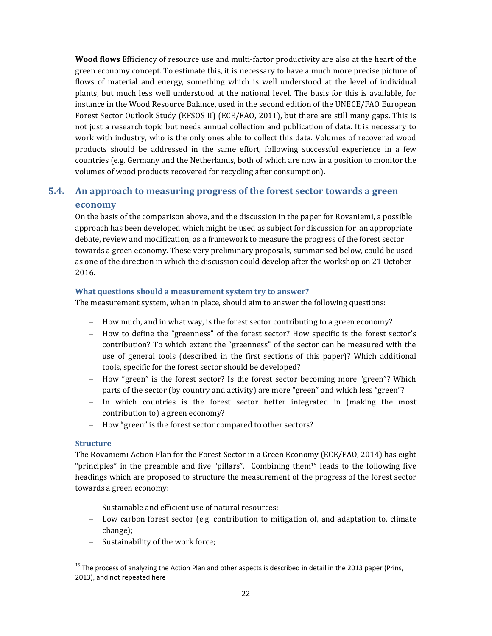**Wood flows** Efficiency of resource use and multi-factor productivity are also at the heart of the green economy concept. To estimate this, it is necessary to have a much more precise picture of flows of material and energy, something which is well understood at the level of individual plants, but much less well understood at the national level. The basis for this is available, for instance in the Wood Resource Balance, used in the second edition of the UNECE/FAO European Forest Sector Outlook Study (EFSOS II) (ECE/FAO, 2011), but there are still many gaps. This is not just a research topic but needs annual collection and publication of data. It is necessary to work with industry, who is the only ones able to collect this data. Volumes of recovered wood products should be addressed in the same effort, following successful experience in a few countries (e.g. Germany and the Netherlands, both of which are now in a position to monitor the volumes of wood products recovered for recycling after consumption).

# **5.4. An approach to measuring progress of the forest sector towards a green economy**

On the basis of the comparison above, and the discussion in the paper for Rovaniemi, a possible approach has been developed which might be used as subject for discussion for an appropriate debate, review and modification, as a framework to measure the progress of the forest sector towards a green economy. These very preliminary proposals, summarised below, could be used as one of the direction in which the discussion could develop after the workshop on 21 October 2016. 

#### **What questions should a measurement system try to answer?**

The measurement system, when in place, should aim to answer the following questions:

- How much, and in what way, is the forest sector contributing to a green economy?
- How to define the "greenness" of the forest sector? How specific is the forest sector's contribution? To which extent the "greenness" of the sector can be measured with the use of general tools (described in the first sections of this paper)? Which additional tools, specific for the forest sector should be developed?
- How "green" is the forest sector? Is the forest sector becoming more "green"? Which parts of the sector (by country and activity) are more "green" and which less "green"?
- $-$  In which countries is the forest sector better integrated in (making the most contribution to) a green economy?
- How "green" is the forest sector compared to other sectors?

#### **Structure**

The Rovaniemi Action Plan for the Forest Sector in a Green Economy (ECE/FAO, 2014) has eight "principles" in the preamble and five "pillars". Combining them<sup>15</sup> leads to the following five headings which are proposed to structure the measurement of the progress of the forest sector towards a green economy:

- Sustainable and efficient use of natural resources;
- Low carbon forest sector (e.g. contribution to mitigation of, and adaptation to, climate change);
- Sustainability of the work force;

<sup>&</sup>lt;sup>15</sup> The process of analyzing the Action Plan and other aspects is described in detail in the 2013 paper (Prins, 2013), and not repeated here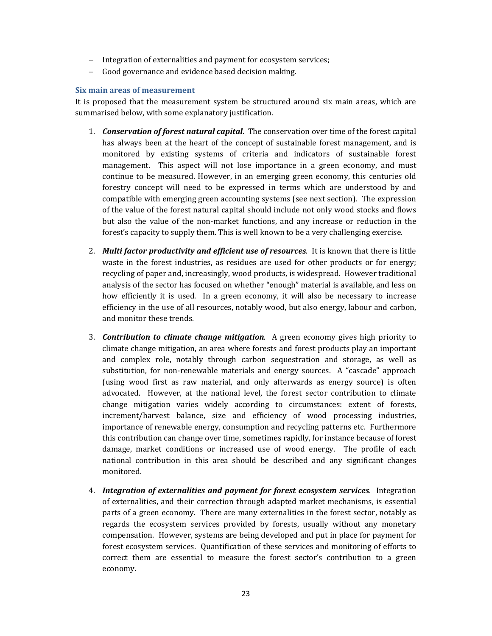- Integration of externalities and payment for ecosystem services;
- Good governance and evidence based decision making.

#### **Six main areas of measurement**

It is proposed that the measurement system be structured around six main areas, which are summarised below, with some explanatory justification.

- 1. **Conservation of forest natural capital**. The conservation over time of the forest capital has always been at the heart of the concept of sustainable forest management, and is monitored by existing systems of criteria and indicators of sustainable forest management. This aspect will not lose importance in a green economy, and must continue to be measured. However, in an emerging green economy, this centuries old forestry concept will need to be expressed in terms which are understood by and compatible with emerging green accounting systems (see next section). The expression of the value of the forest natural capital should include not only wood stocks and flows but also the value of the non-market functions, and any increase or reduction in the forest's capacity to supply them. This is well known to be a very challenging exercise.
- 2. *Multi factor productivity and efficient use of <i>resources*. It is known that there is little waste in the forest industries, as residues are used for other products or for energy; recycling of paper and, increasingly, wood products, is widespread. However traditional analysis of the sector has focused on whether "enough" material is available, and less on how efficiently it is used. In a green economy, it will also be necessary to increase efficiency in the use of all resources, notably wood, but also energy, labour and carbon, and monitor these trends.
- 3. *Contribution to climate change mitigation*. A green economy gives high priority to climate change mitigation, an area where forests and forest products play an important and complex role, notably through carbon sequestration and storage, as well as substitution, for non-renewable materials and energy sources. A "cascade" approach (using wood first as raw material, and only afterwards as energy source) is often advocated. However, at the national level, the forest sector contribution to climate change mitigation varies widely according to circumstances: extent of forests, increment/harvest balance, size and efficiency of wood processing industries, importance of renewable energy, consumption and recycling patterns etc. Furthermore this contribution can change over time, sometimes rapidly, for instance because of forest damage, market conditions or increased use of wood energy. The profile of each national contribution in this area should be described and any significant changes monitored.
- 4. *Integration of externalities and payment for forest ecosystem services*. Integration of externalities, and their correction through adapted market mechanisms, is essential parts of a green economy. There are many externalities in the forest sector, notably as regards the ecosystem services provided by forests, usually without any monetary compensation. However, systems are being developed and put in place for payment for forest ecosystem services. Quantification of these services and monitoring of efforts to correct them are essential to measure the forest sector's contribution to a green economy.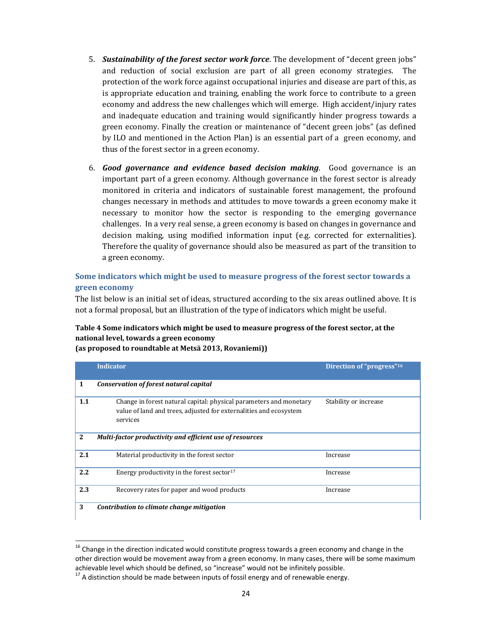- 5. **Sustainability of the forest sector work force**. The development of "decent green jobs" and reduction of social exclusion are part of all green economy strategies. The protection of the work force against occupational injuries and disease are part of this, as is appropriate education and training, enabling the work force to contribute to a green economy and address the new challenges which will emerge. High accident/injury rates and inadequate education and training would significantly hinder progress towards a green economy. Finally the creation or maintenance of "decent green jobs" (as defined by ILO and mentioned in the Action Plan) is an essential part of a green economy, and thus of the forest sector in a green economy.
- 6. *Good governance and evidence based decision making*. Good governance is an important part of a green economy. Although governance in the forest sector is already monitored in criteria and indicators of sustainable forest management, the profound changes necessary in methods and attitudes to move towards a green economy make it necessary to monitor how the sector is responding to the emerging governance challenges. In a very real sense, a green economy is based on changes in governance and decision making, using modified information input (e.g. corrected for externalities). Therefore the quality of governance should also be measured as part of the transition to a green economy.

#### **Some indicators which might be used to measure progress of the forest sector towards a green economy**

The list below is an initial set of ideas, structured according to the six areas outlined above. It is not a formal proposal, but an illustration of the type of indicators which might be useful.

## **Table 4 Some indicators which might be used to measure progress of the forest sector, at the national level, towards a green economy**

| (as proposed to roundtable at Metsä 2013, Rovaniemi)) |  |
|-------------------------------------------------------|--|
|-------------------------------------------------------|--|

|              | <b>Indicator</b>                                                                                                                                    | Direction of "progress" <sup>16</sup> |
|--------------|-----------------------------------------------------------------------------------------------------------------------------------------------------|---------------------------------------|
| 1            | Conservation of forest natural capital                                                                                                              |                                       |
| 1.1          | Change in forest natural capital: physical parameters and monetary<br>value of land and trees, adjusted for externalities and ecosystem<br>services | Stability or increase                 |
| $\mathbf{2}$ | Multi-factor productivity and efficient use of resources                                                                                            |                                       |
| 2.1          | Material productivity in the forest sector                                                                                                          | Increase                              |
| 2.2          | Energy productivity in the forest sector <sup>17</sup>                                                                                              | Increase                              |
| 2.3          | Recovery rates for paper and wood products                                                                                                          | Increase                              |
| 3            | Contribution to climate change mitigation                                                                                                           |                                       |

 $16$  Change in the direction indicated would constitute progress towards a green economy and change in the other direction would be movement away from a green economy. In many cases, there will be some maximum achievable level which should be defined, so "increase" would not be infinitely possible.<br><sup>17</sup> A distinction should be made between inputs of fossil energy and of renewable energy.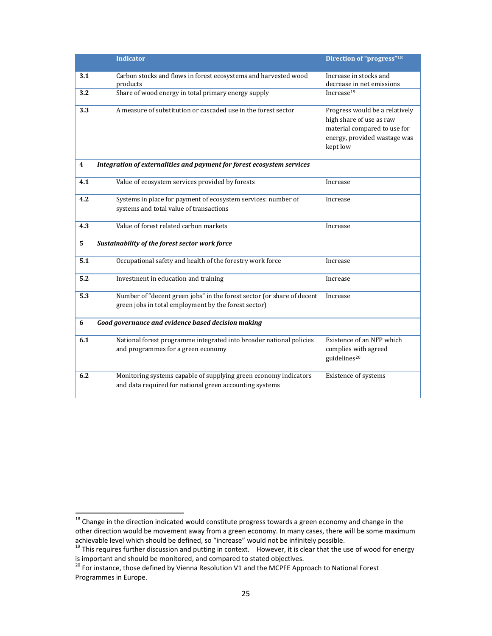|     | <b>Indicator</b>                                                                                                               | Direction of "progress" <sup>18</sup>                                                                                                  |
|-----|--------------------------------------------------------------------------------------------------------------------------------|----------------------------------------------------------------------------------------------------------------------------------------|
| 3.1 | Carbon stocks and flows in forest ecosystems and harvested wood<br>products                                                    | Increase in stocks and<br>decrease in net emissions                                                                                    |
| 3.2 | Share of wood energy in total primary energy supply                                                                            | Increase <sup>19</sup>                                                                                                                 |
| 3.3 | A measure of substitution or cascaded use in the forest sector                                                                 | Progress would be a relatively<br>high share of use as raw<br>material compared to use for<br>energy, provided wastage was<br>kept low |
| 4   | Integration of externalities and payment for forest ecosystem services                                                         |                                                                                                                                        |
| 4.1 | Value of ecosystem services provided by forests                                                                                | Increase                                                                                                                               |
| 4.2 | Systems in place for payment of ecosystem services: number of<br>systems and total value of transactions                       | Increase                                                                                                                               |
| 4.3 | Value of forest related carbon markets                                                                                         | Increase                                                                                                                               |
| 5   | Sustainability of the forest sector work force                                                                                 |                                                                                                                                        |
| 5.1 | Occupational safety and health of the forestry work force                                                                      | Increase                                                                                                                               |
| 5.2 | Investment in education and training                                                                                           | Increase                                                                                                                               |
| 5.3 | Number of "decent green jobs" in the forest sector (or share of decent<br>green jobs in total employment by the forest sector) | Increase                                                                                                                               |
| 6   | Good governance and evidence based decision making                                                                             |                                                                                                                                        |
| 6.1 | National forest programme integrated into broader national policies<br>and programmes for a green economy                      | Existence of an NFP which<br>complies with agreed<br>guidelines <sup>20</sup>                                                          |
| 6.2 | Monitoring systems capable of supplying green economy indicators<br>and data required for national green accounting systems    | Existence of systems                                                                                                                   |

 $18$  Change in the direction indicated would constitute progress towards a green economy and change in the other direction would be movement away from a green economy. In many cases, there will be some maximum

achievable level which should be defined, so "increase" would not be infinitely possible.<br>
<sup>19</sup> This requires further discussion and putting in context. However, it is clear that the use of wood for energy<br>
is important an

<sup>&</sup>lt;sup>20</sup> For instance, those defined by Vienna Resolution V1 and the MCPFE Approach to National Forest Programmes in Europe.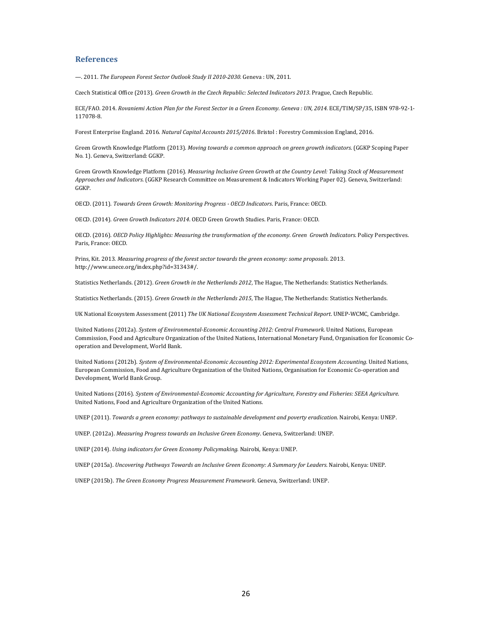#### **References**

—. 2011. *The European Forest Sector Outlook Study II 2010‐2030.* Geneva : UN, 2011. 

Czech Statistical Office (2013). *Green Growth in the Czech Republic: Selected Indicators 2013*. Prague, Czech Republic. 

ECE/FAO. 2014. Rovaniemi Action Plan for the Forest Sector in a Green Economy. Geneva: UN, 2014. ECE/TIM/SP/35, ISBN 978-92-1-117078‐8. 

Forest Enterprise England. 2016. *Natural Capital Accounts* 2015/2016. Bristol : Forestry Commission England, 2016.

Green Growth Knowledge Platform (2013). *Moving towards a common approach on green growth indicators*. (GGKP Scoping Paper No. 1). Geneva, Switzerland: GGKP.

Green Growth Knowledge Platform (2016). *Measuring Inclusive Green Growth at the Country Level: Taking Stock of Measurement Approaches and Indicators*. (GGKP Research Committee on Measurement & Indicators Working Paper 02). Geneva, Switzerland: GGKP. 

OECD. (2011). *Towards Green Growth: Monitoring Progress ‐ OECD Indicators*. Paris, France: OECD. 

OECD. (2014). *Green Growth Indicators 2014*. OECD Green Growth Studies. Paris, France: OECD. 

OECD. (2016). *OECD Policy Highlights: Measuring the transformation of the economy. Green Growth Indicators*. Policy Perspectives. Paris, France: OECD.

Prins, Kit. 2013. *Measuring progress of the forest sector towards the green economy: some proposals*. 2013. http://www.unece.org/index.php?id=31343#/. 

Statistics Netherlands. (2012). Green Growth in the Netherlands 2012, The Hague, The Netherlands: Statistics Netherlands.

Statistics Netherlands. (2015). Green Growth in the Netherlands 2015, The Hague, The Netherlands: Statistics Netherlands.

UK National Ecosystem Assessment (2011) *The UK National Ecosystem Assessment Technical Report*. UNEP‐WCMC, Cambridge. 

United Nations (2012a). *System of Environmental‐Economic Accounting 2012: Central Framework*. United Nations, European Commission, Food and Agriculture Organization of the United Nations, International Monetary Fund, Organisation for Economic Cooperation and Development, World Bank.

United Nations (2012b). *System of Environmental‐Economic Accounting 2012: Experimental Ecosystem Accounting*. United Nations, European Commission, Food and Agriculture Organization of the United Nations, Organisation for Economic Co-operation and Development, World Bank Group.

United Nations (2016). *System of Environmental‐Economic Accounting for Agriculture, Forestry and Fisheries: SEEA Agriculture*. United Nations, Food and Agriculture Organization of the United Nations.

UNEP (2011). *Towards a green economy: pathways to sustainable development and poverty eradication*. Nairobi, Kenya: UNEP. 

UNEP. (2012a). *Measuring Progress towards an Inclusive Green Economy*. Geneva, Switzerland: UNEP. 

UNEP (2014). *Using indicators for Green Economy Policymaking*. Nairobi, Kenya: UNEP. 

UNEP (2015a). *Uncovering Pathways Towards an Inclusive Green Economy: A Summary for Leaders.* Nairobi, Kenya: UNEP. 

UNEP (2015b). *The Green Economy Progress Measurement Framework*. Geneva, Switzerland: UNEP.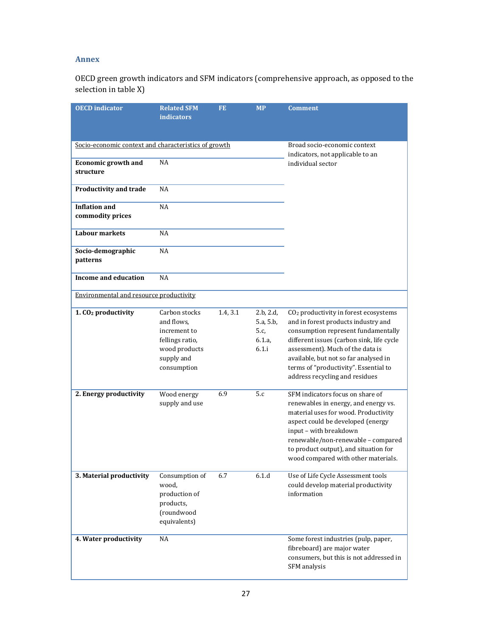## **Annex**

OECD green growth indicators and SFM indicators (comprehensive approach, as opposed to the selection in table X)

| <b>OECD</b> indicator                                | <b>Related SFM</b><br><i>indicators</i>                                                                      | FE.      | <b>MP</b>                                            | <b>Comment</b>                                                                                                                                                                                                                                                                                                                       |
|------------------------------------------------------|--------------------------------------------------------------------------------------------------------------|----------|------------------------------------------------------|--------------------------------------------------------------------------------------------------------------------------------------------------------------------------------------------------------------------------------------------------------------------------------------------------------------------------------------|
| Socio-economic context and characteristics of growth |                                                                                                              |          |                                                      | Broad socio-economic context<br>indicators, not applicable to an                                                                                                                                                                                                                                                                     |
| <b>Economic growth and</b><br>structure              | <b>NA</b>                                                                                                    |          |                                                      | individual sector                                                                                                                                                                                                                                                                                                                    |
| <b>Productivity and trade</b>                        | NA                                                                                                           |          |                                                      |                                                                                                                                                                                                                                                                                                                                      |
| <b>Inflation and</b><br>commodity prices             | <b>NA</b>                                                                                                    |          |                                                      |                                                                                                                                                                                                                                                                                                                                      |
| <b>Labour markets</b>                                | <b>NA</b>                                                                                                    |          |                                                      |                                                                                                                                                                                                                                                                                                                                      |
| Socio-demographic<br>patterns                        | NA                                                                                                           |          |                                                      |                                                                                                                                                                                                                                                                                                                                      |
| Income and education                                 | <b>NA</b>                                                                                                    |          |                                                      |                                                                                                                                                                                                                                                                                                                                      |
| Environmental and resource productivity              |                                                                                                              |          |                                                      |                                                                                                                                                                                                                                                                                                                                      |
| 1. CO <sub>2</sub> productivity                      | Carbon stocks<br>and flows,<br>increment to<br>fellings ratio,<br>wood products<br>supply and<br>consumption | 1.4, 3.1 | 2.b, 2.d,<br>5.a, 5.b,<br>5.c,<br>6.1.a,<br>$6.1$ .i | CO <sub>2</sub> productivity in forest ecosystems<br>and in forest products industry and<br>consumption represent fundamentally<br>different issues (carbon sink, life cycle<br>assessment). Much of the data is<br>available, but not so far analysed in<br>terms of "productivity". Essential to<br>address recycling and residues |
| 2. Energy productivity                               | Wood energy<br>supply and use                                                                                | 6.9      | 5.c                                                  | SFM indicators focus on share of<br>renewables in energy, and energy vs.<br>material uses for wood. Productivity<br>aspect could be developed (energy<br>input - with breakdown<br>renewable/non-renewable - compared<br>to product output), and situation for<br>wood compared with other materials.                                |
| 3. Material productivity                             | Consumption of<br>wood,<br>production of<br>products,<br>(roundwood<br>equivalents)                          | 6.7      | 6.1.d                                                | Use of Life Cycle Assessment tools<br>could develop material productivity<br>information                                                                                                                                                                                                                                             |
| 4. Water productivity                                | NA                                                                                                           |          |                                                      | Some forest industries (pulp, paper,<br>fibreboard) are major water<br>consumers, but this is not addressed in<br>SFM analysis                                                                                                                                                                                                       |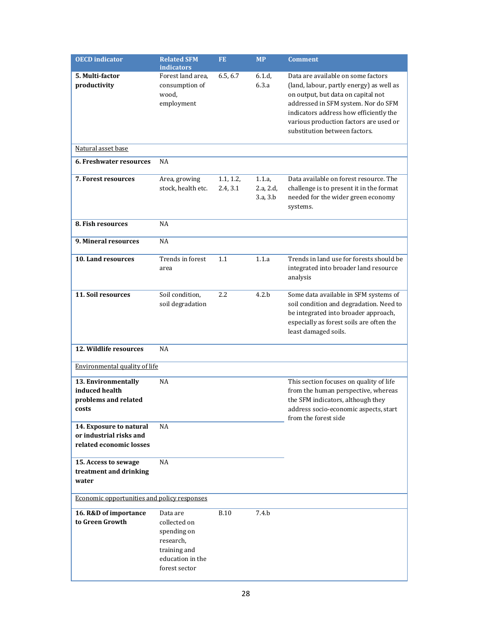| <b>OECD</b> indicator                                                         | <b>Related SFM</b><br><i>indicators</i>                                                                   | <b>FE</b>             | <b>MP</b>                       | <b>Comment</b>                                                                                                                                                                                                                                                                   |
|-------------------------------------------------------------------------------|-----------------------------------------------------------------------------------------------------------|-----------------------|---------------------------------|----------------------------------------------------------------------------------------------------------------------------------------------------------------------------------------------------------------------------------------------------------------------------------|
| 5. Multi-factor<br>productivity                                               | Forest land area,<br>consumption of<br>wood,<br>employment                                                | 6.5, 6.7              | 6.1.d.<br>6.3.a                 | Data are available on some factors<br>(land, labour, partly energy) as well as<br>on output, but data on capital not<br>addressed in SFM system. Nor do SFM<br>indicators address how efficiently the<br>various production factors are used or<br>substitution between factors. |
| Natural asset base                                                            |                                                                                                           |                       |                                 |                                                                                                                                                                                                                                                                                  |
| 6. Freshwater resources                                                       | NA                                                                                                        |                       |                                 |                                                                                                                                                                                                                                                                                  |
| <b>7. Forest resources</b>                                                    | Area, growing<br>stock, health etc.                                                                       | 1.1, 1.2,<br>2.4, 3.1 | 1.1.a,<br>2.a, 2.d,<br>3.a, 3.b | Data available on forest resource. The<br>challenge is to present it in the format<br>needed for the wider green economy<br>systems.                                                                                                                                             |
| 8. Fish resources                                                             | <b>NA</b>                                                                                                 |                       |                                 |                                                                                                                                                                                                                                                                                  |
| 9. Mineral resources                                                          | <b>NA</b>                                                                                                 |                       |                                 |                                                                                                                                                                                                                                                                                  |
| 10. Land resources                                                            | Trends in forest<br>area                                                                                  | 1.1                   | 1.1.a                           | Trends in land use for forests should be<br>integrated into broader land resource<br>analysis                                                                                                                                                                                    |
| 11. Soil resources                                                            | Soil condition,<br>soil degradation                                                                       | 2.2                   | 4.2.b                           | Some data available in SFM systems of<br>soil condition and degradation. Need to<br>be integrated into broader approach,<br>especially as forest soils are often the<br>least damaged soils.                                                                                     |
| 12. Wildlife resources                                                        | <b>NA</b>                                                                                                 |                       |                                 |                                                                                                                                                                                                                                                                                  |
| Environmental quality of life                                                 |                                                                                                           |                       |                                 |                                                                                                                                                                                                                                                                                  |
| 13. Environmentally<br>induced health<br>problems and related<br>costs        | <b>NA</b>                                                                                                 |                       |                                 | This section focuses on quality of life<br>from the human perspective, whereas<br>the SFM indicators, although they<br>address socio-economic aspects, start<br>from the forest side                                                                                             |
| 14. Exposure to natural<br>or industrial risks and<br>related economic losses | NA                                                                                                        |                       |                                 |                                                                                                                                                                                                                                                                                  |
| 15. Access to sewage<br>treatment and drinking<br>water                       | NA                                                                                                        |                       |                                 |                                                                                                                                                                                                                                                                                  |
| Economic opportunities and policy responses                                   |                                                                                                           |                       |                                 |                                                                                                                                                                                                                                                                                  |
| 16. R&D of importance<br>to Green Growth                                      | Data are<br>collected on<br>spending on<br>research,<br>training and<br>education in the<br>forest sector | <b>B.10</b>           | 7.4.b                           |                                                                                                                                                                                                                                                                                  |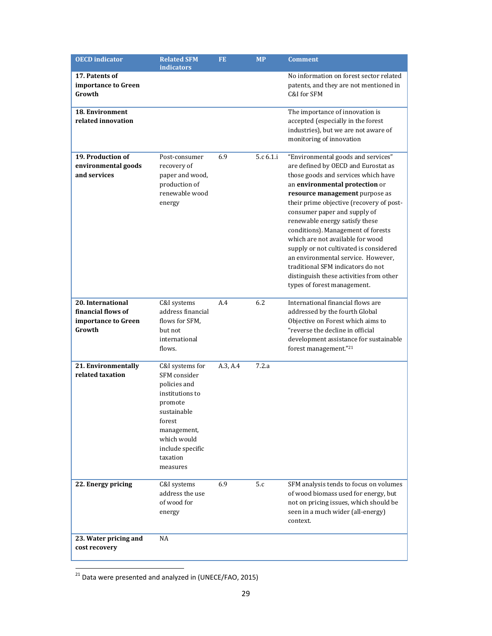| <b>OECD</b> indicator                   | <b>Related SFM</b><br><i>indicators</i> | <b>FE</b> | <b>MP</b> | <b>Comment</b>                                                      |
|-----------------------------------------|-----------------------------------------|-----------|-----------|---------------------------------------------------------------------|
| 17. Patents of                          |                                         |           |           | No information on forest sector related                             |
| importance to Green                     |                                         |           |           | patents, and they are not mentioned in                              |
| Growth                                  |                                         |           |           | C&I for SFM                                                         |
|                                         |                                         |           |           |                                                                     |
| <b>18. Environment</b>                  |                                         |           |           | The importance of innovation is                                     |
| related innovation                      |                                         |           |           | accepted (especially in the forest                                  |
|                                         |                                         |           |           | industries), but we are not aware of                                |
|                                         |                                         |           |           | monitoring of innovation                                            |
|                                         |                                         |           |           |                                                                     |
| 19. Production of                       | Post-consumer                           | 6.9       | 5.c 6.1.i | "Environmental goods and services"                                  |
| environmental goods                     | recovery of                             |           |           | are defined by OECD and Eurostat as                                 |
| and services                            | paper and wood,                         |           |           | those goods and services which have                                 |
|                                         | production of                           |           |           | an environmental protection or                                      |
|                                         | renewable wood                          |           |           | resource management purpose as                                      |
|                                         | energy                                  |           |           | their prime objective (recovery of post-                            |
|                                         |                                         |           |           | consumer paper and supply of                                        |
|                                         |                                         |           |           | renewable energy satisfy these                                      |
|                                         |                                         |           |           | conditions). Management of forests                                  |
|                                         |                                         |           |           | which are not available for wood                                    |
|                                         |                                         |           |           | supply or not cultivated is considered                              |
|                                         |                                         |           |           | an environmental service. However,                                  |
|                                         |                                         |           |           | traditional SFM indicators do not                                   |
|                                         |                                         |           |           | distinguish these activities from other                             |
|                                         |                                         |           |           | types of forest management.                                         |
|                                         |                                         | A.4       | 6.2       |                                                                     |
| 20. International<br>financial flows of | C&I systems<br>address financial        |           |           | International financial flows are                                   |
|                                         | flows for SFM,                          |           |           | addressed by the fourth Global<br>Objective on Forest which aims to |
| importance to Green<br>Growth           | but not                                 |           |           | "reverse the decline in official                                    |
|                                         | international                           |           |           | development assistance for sustainable                              |
|                                         | flows.                                  |           |           | forest management."21                                               |
|                                         |                                         |           |           |                                                                     |
| 21. Environmentally                     | C&I systems for                         | A.3, A.4  | 7.2.a     |                                                                     |
| related taxation                        | SFM consider                            |           |           |                                                                     |
|                                         | policies and                            |           |           |                                                                     |
|                                         | institutions to                         |           |           |                                                                     |
|                                         | promote                                 |           |           |                                                                     |
|                                         | sustainable                             |           |           |                                                                     |
|                                         | forest                                  |           |           |                                                                     |
|                                         | management,                             |           |           |                                                                     |
|                                         | which would                             |           |           |                                                                     |
|                                         | include specific                        |           |           |                                                                     |
|                                         | taxation                                |           |           |                                                                     |
|                                         | measures                                |           |           |                                                                     |
|                                         |                                         | 6.9       | 5.c       | SFM analysis tends to focus on volumes                              |
| 22. Energy pricing                      | C&I systems<br>address the use          |           |           | of wood biomass used for energy, but                                |
|                                         | of wood for                             |           |           | not on pricing issues, which should be                              |
|                                         | energy                                  |           |           | seen in a much wider (all-energy)                                   |
|                                         |                                         |           |           | context.                                                            |
|                                         |                                         |           |           |                                                                     |
| 23. Water pricing and                   | NA                                      |           |           |                                                                     |
| cost recovery                           |                                         |           |           |                                                                     |
|                                         |                                         |           |           |                                                                     |

 $21$  Data were presented and analyzed in (UNECE/FAO, 2015)